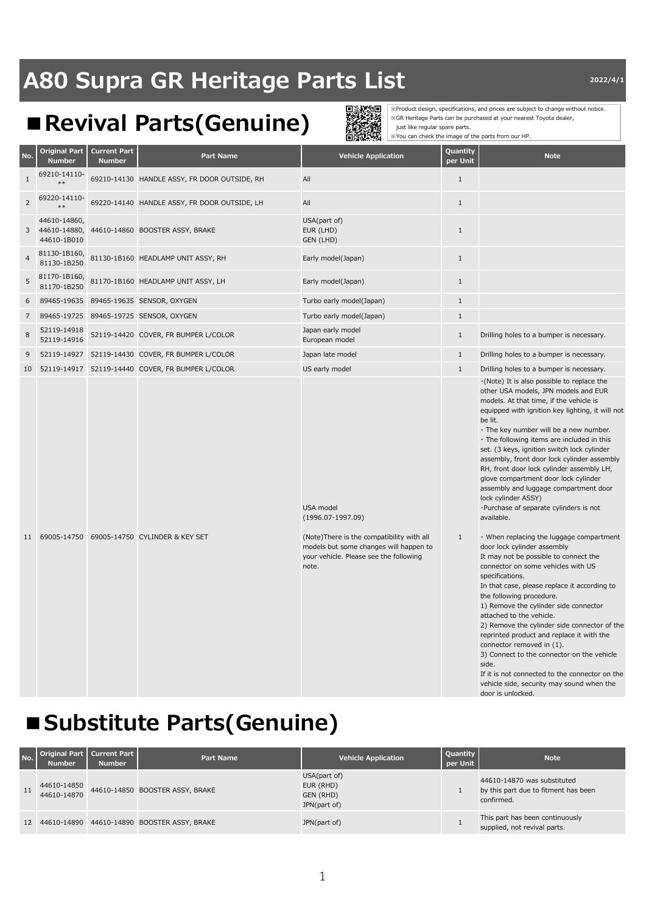### **A80 Supra GR Heritage Parts List Parts 130 AM 2022/4/1**

### **■Revival Parts(Genuine)**



※Product design, specifications, and prices are subject to change without notice. ※GR Heritage Parts can be purchased at your nearest Toyota dealer, just like regular spare parts. ※You can check the image of the parts from our HP.

| No.            | <b>Original Part</b><br><b>Number</b>       | <b>Current Part</b><br><b>Number</b> | Part Name                                    | <b>Vehicle Application</b>                                                                                                              | Quantity<br>per Unit | <b>Note</b>                                                                                                                                                                                                                                                                                                                                                                                                                                                                                                                                                                                                                           |
|----------------|---------------------------------------------|--------------------------------------|----------------------------------------------|-----------------------------------------------------------------------------------------------------------------------------------------|----------------------|---------------------------------------------------------------------------------------------------------------------------------------------------------------------------------------------------------------------------------------------------------------------------------------------------------------------------------------------------------------------------------------------------------------------------------------------------------------------------------------------------------------------------------------------------------------------------------------------------------------------------------------|
| $\mathbf{1}$   | 69210-14110-                                |                                      | 69210-14130 HANDLE ASSY, FR DOOR OUTSIDE, RH | All                                                                                                                                     | $\mathbf{1}$         |                                                                                                                                                                                                                                                                                                                                                                                                                                                                                                                                                                                                                                       |
| $\overline{2}$ | 69220-14110-                                |                                      | 69220-14140 HANDLE ASSY, FR DOOR OUTSIDE, LH | All                                                                                                                                     | $\mathbf{1}$         |                                                                                                                                                                                                                                                                                                                                                                                                                                                                                                                                                                                                                                       |
| 3              | 44610-14860,<br>44610-14880,<br>44610-1B010 |                                      | 44610-14860 BOOSTER ASSY, BRAKE              | USA(part of)<br>EUR (LHD)<br>GEN (LHD)                                                                                                  | $\mathbf{1}$         |                                                                                                                                                                                                                                                                                                                                                                                                                                                                                                                                                                                                                                       |
| $\overline{4}$ | 81130-1B160,<br>81130-1B250                 |                                      | 81130-1B160 HEADLAMP UNIT ASSY, RH           | Early model(Japan)                                                                                                                      | $\mathbf{1}$         |                                                                                                                                                                                                                                                                                                                                                                                                                                                                                                                                                                                                                                       |
| 5              | 81170-1B160,<br>81170-1B250                 |                                      | 81170-1B160 HEADLAMP UNIT ASSY, LH           | Early model(Japan)                                                                                                                      | $1\,$                |                                                                                                                                                                                                                                                                                                                                                                                                                                                                                                                                                                                                                                       |
| 6              | 89465-19635                                 |                                      | 89465-19635 SENSOR, OXYGEN                   | Turbo early model(Japan)                                                                                                                | $\mathbf{1}$         |                                                                                                                                                                                                                                                                                                                                                                                                                                                                                                                                                                                                                                       |
| $\overline{7}$ | 89465-19725                                 |                                      | 89465-19725 SENSOR, OXYGEN                   | Turbo early model(Japan)                                                                                                                | $1\,$                |                                                                                                                                                                                                                                                                                                                                                                                                                                                                                                                                                                                                                                       |
| 8              | 52119-14918<br>52119-14916                  |                                      | 52119-14420 COVER, FR BUMPER L/COLOR         | Japan early model<br>European model                                                                                                     | $1\,$                | Drilling holes to a bumper is necessary.                                                                                                                                                                                                                                                                                                                                                                                                                                                                                                                                                                                              |
| 9              | 52119-14927                                 |                                      | 52119-14430 COVER, FR BUMPER L/COLOR         | Japan late model                                                                                                                        | $\mathbf{1}$         | Drilling holes to a bumper is necessary.                                                                                                                                                                                                                                                                                                                                                                                                                                                                                                                                                                                              |
| 10             | 52119-14917                                 |                                      | 52119-14440 COVER, FR BUMPER L/COLOR         | US early model                                                                                                                          | $\mathbf{1}$         | Drilling holes to a bumper is necessary.                                                                                                                                                                                                                                                                                                                                                                                                                                                                                                                                                                                              |
|                |                                             |                                      |                                              | USA model<br>$(1996.07-1997.09)$                                                                                                        |                      | $\cdot$ (Note) It is also possible to replace the<br>other USA models, JPN models and EUR<br>models. At that time, if the vehicle is<br>equipped with ignition key lighting, it will not<br>be lit.<br>$\cdot$ The key number will be a new number.<br>$\cdot$ The following items are included in this<br>set. (3 keys, ignition switch lock cylinder<br>assembly, front door lock cylinder assembly<br>RH, front door lock cylinder assembly LH,<br>glove compartment door lock cylinder<br>assembly and luggage compartment door<br>lock cylinder ASSY)<br>·Purchase of separate cylinders is not<br>available.                    |
| 11             | 69005-14750                                 |                                      | 69005-14750 CYLINDER & KEY SET               | (Note) There is the compatibility with all<br>models but some changes will happen to<br>your vehicle. Please see the following<br>note. | $\mathbf{1}$         | $\cdot$ When replacing the luggage compartment<br>door lock cylinder assembly<br>It may not be possible to connect the<br>connector on some vehicles with US<br>specifications.<br>In that case, please replace it according to<br>the following procedure.<br>1) Remove the cylinder side connector<br>attached to the vehicle.<br>2) Remove the cylinder side connector of the<br>reprinted product and replace it with the<br>connector removed in (1).<br>3) Connect to the connector on the vehicle<br>side.<br>If it is not connected to the connector on the<br>vehicle side, security may sound when the<br>door is unlocked. |

#### **■Substitute Parts(Genuine)**

| No. | Original Part<br><b>Number</b> | <b>Current Part</b><br><b>Number</b> | <b>Part Name</b>                               | <b>Vehicle Application</b>                             | <b>Quantity</b><br>per Unit | <b>Note</b>                                                                       |
|-----|--------------------------------|--------------------------------------|------------------------------------------------|--------------------------------------------------------|-----------------------------|-----------------------------------------------------------------------------------|
| 11  | 44610-14850<br>44610-14870     |                                      | 44610-14850 BOOSTER ASSY, BRAKE                | USA(part of)<br>EUR (RHD)<br>GEN (RHD)<br>JPN(part of) |                             | 44610-14870 was substituted<br>by this part due to fitment has been<br>confirmed. |
|     |                                |                                      | 12 44610-14890 44610-14890 BOOSTER ASSY, BRAKE | JPN(part of)                                           |                             | This part has been continuously<br>supplied, not revival parts.                   |